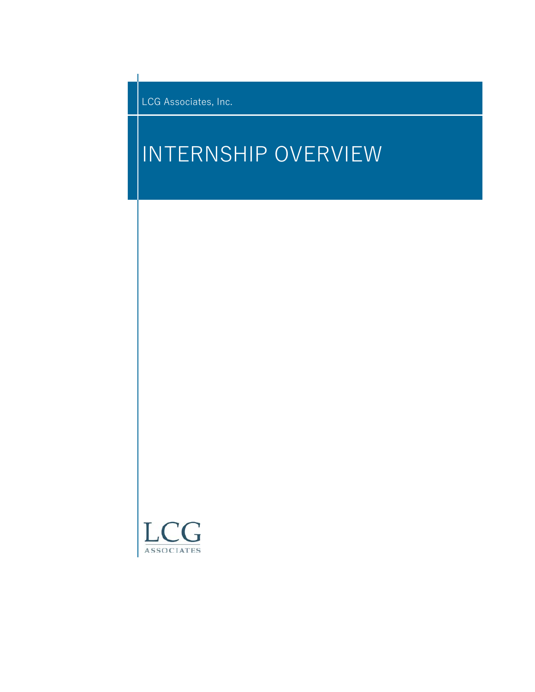LCG Associates, Inc.

# INTERNSHIP OVERVIEW

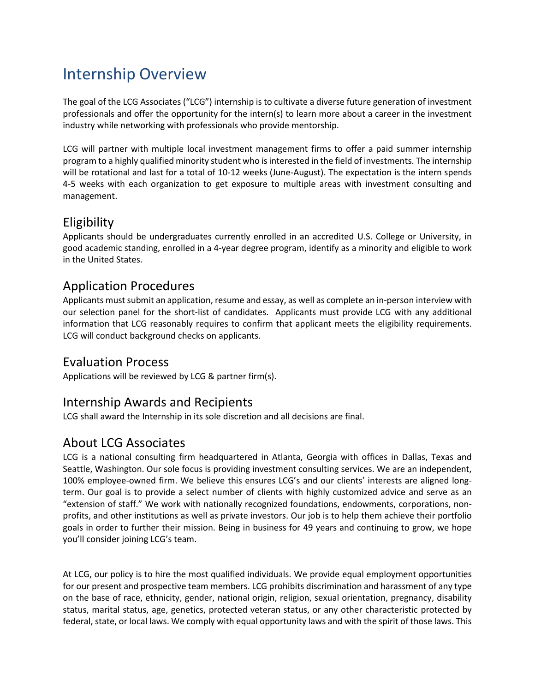# Internship Overview

The goal of the LCG Associates ("LCG") internship is to cultivate a diverse future generation of investment professionals and offer the opportunity for the intern(s) to learn more about a career in the investment industry while networking with professionals who provide mentorship.

LCG will partner with multiple local investment management firms to offer a paid summer internship program to a highly qualified minority student who is interested in the field of investments. The internship will be rotational and last for a total of 10-12 weeks (June-August). The expectation is the intern spends 4-5 weeks with each organization to get exposure to multiple areas with investment consulting and management.

# Eligibility

Applicants should be undergraduates currently enrolled in an accredited U.S. College or University, in good academic standing, enrolled in a 4-year degree program, identify as a minority and eligible to work in the United States.

## Application Procedures

Applicants must submit an application, resume and essay, as well as complete an in-person interview with our selection panel for the short-list of candidates. Applicants must provide LCG with any additional information that LCG reasonably requires to confirm that applicant meets the eligibility requirements. LCG will conduct background checks on applicants.

### Evaluation Process

Applications will be reviewed by LCG & partner firm(s).

### Internship Awards and Recipients

LCG shall award the Internship in its sole discretion and all decisions are final.

### About LCG Associates

LCG is a national consulting firm headquartered in Atlanta, Georgia with offices in Dallas, Texas and Seattle, Washington. Our sole focus is providing investment consulting services. We are an independent, 100% employee-owned firm. We believe this ensures LCG's and our clients' interests are aligned longterm. Our goal is to provide a select number of clients with highly customized advice and serve as an "extension of staff." We work with nationally recognized foundations, endowments, corporations, nonprofits, and other institutions as well as private investors. Our job is to help them achieve their portfolio goals in order to further their mission. Being in business for 49 years and continuing to grow, we hope you'll consider joining LCG's team.

At LCG, our policy is to hire the most qualified individuals. We provide equal employment opportunities for our present and prospective team members. LCG prohibits discrimination and harassment of any type on the base of race, ethnicity, gender, national origin, religion, sexual orientation, pregnancy, disability status, marital status, age, genetics, protected veteran status, or any other characteristic protected by federal, state, or local laws. We comply with equal opportunity laws and with the spirit of those laws. This